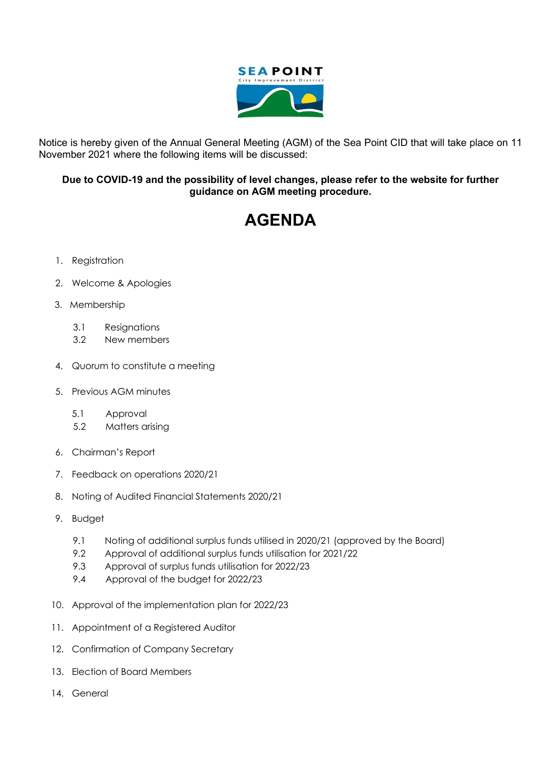

Notice is hereby given of the Annual General Meeting (AGM) of the Sea Point CID that will take place on 11 November 2021 where the following items will be discussed:

## **Due to COVID-19 and the possibility of level changes, please refer to the website for further guidance on AGM meeting procedure.**

## **AGENDA**

- 1. Registration
- 2. Welcome & Apologies
- 3. Membership
	- 3.1 Resignations
	- 3.2 New members
- 4. Quorum to constitute a meeting
- 5. Previous AGM minutes
	- 5.1 Approval
	- 5.2 Matters arising
- 6. Chairman's Report
- 7. Feedback on operations 2020/21
- 8. Noting of Audited Financial Statements 2020/21
- 9. Budget
	- 9.1 Noting of additional surplus funds utilised in 2020/21 (approved by the Board)
	- 9.2 Approval of additional surplus funds utilisation for 2021/22
	- 9.3 Approval of surplus funds utilisation for 2022/23
	- 9.4 Approval of the budget for 2022/23
- 10. Approval of the implementation plan for 2022/23
- 11. Appointment of a Registered Auditor
- 12. Confirmation of Company Secretary
- 13. Election of Board Members
- 14. General